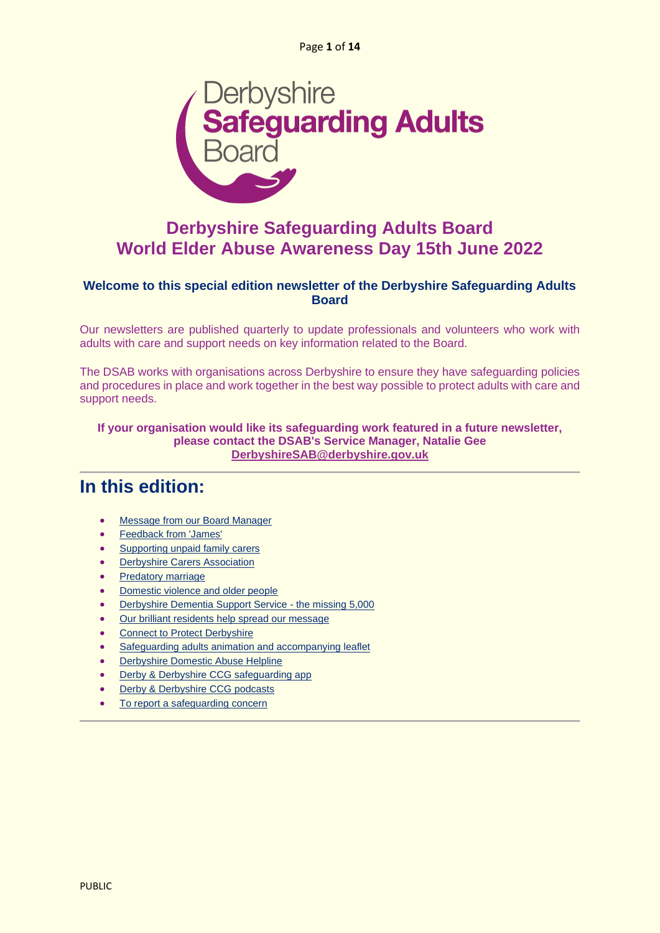

### **Derbyshire Safeguarding Adults Board World Elder Abuse Awareness Day 15th June 2022**

### **Welcome to this special edition newsletter of the Derbyshire Safeguarding Adults Board**

Our newsletters are published quarterly to update professionals and volunteers who work with adults with care and support needs on key information related to the Board.

The DSAB works with organisations across Derbyshire to ensure they have safeguarding policies and procedures in place and work together in the best way possible to protect adults with care and support needs.

**If your organisation would like its safeguarding work featured in a future newsletter, please contact the DSAB's Service Manager, Natalie Gee [DerbyshireSAB@derbyshire.gov.uk](mailto:derbyshiresab@derbyshire.gov.uk)**

### **In this edition:**

- [Message from our Board Manager](#page-1-0)
- [Feedback from 'James'](#page-1-1)
- [Supporting unpaid family carers](#page-3-0)
- [Derbyshire Carers Association](#page-4-0)
- [Predatory marriage](#page-6-0)
- [Domestic violence and older people](#page-7-0)
- [Derbyshire Dementia Support Service -](#page-8-0) the missing 5,000
- [Our brilliant residents help spread our message](#page-8-1)
- [Connect to Protect Derbyshire](#page-9-0)
- [Safeguarding adults animation and accompanying leaflet](#page-10-0)
- [Derbyshire Domestic Abuse Helpline](#page-10-1)
- [Derby & Derbyshire CCG safeguarding app](#page-11-0)
- [Derby & Derbyshire CCG podcasts](#page-11-1)
- [To report a safeguarding concern](#page-12-0)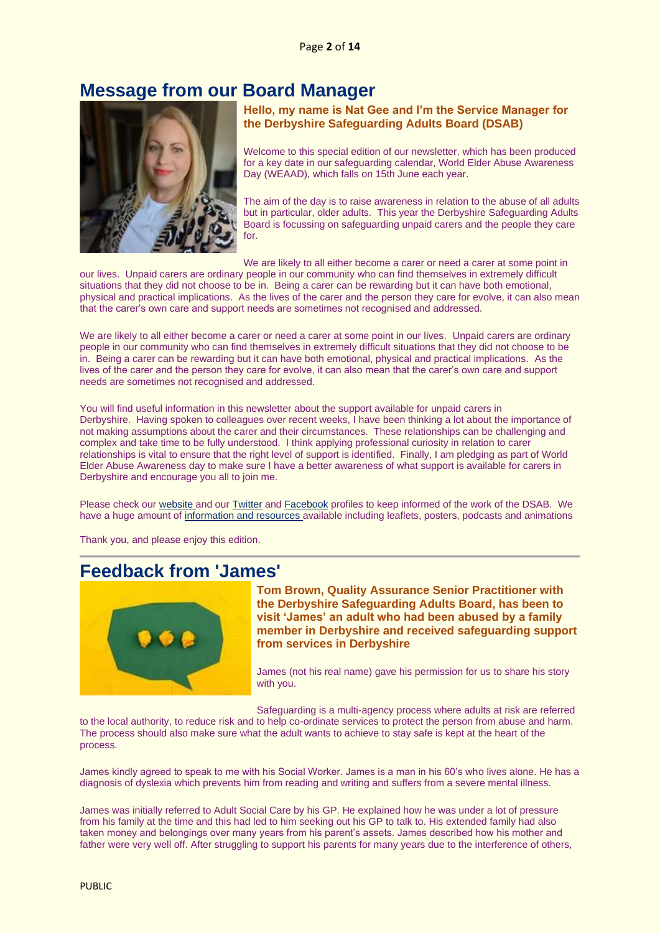### <span id="page-1-0"></span>**Message from our Board Manager**



**Hello, my name is Nat Gee and I'm the Service Manager for the Derbyshire Safeguarding Adults Board (DSAB)**

Welcome to this special edition of our newsletter, which has been produced for a key date in our safeguarding calendar, World Elder Abuse Awareness Day (WEAAD), which falls on 15th June each year.

The aim of the day is to raise awareness in relation to the abuse of all adults but in particular, older adults. This year the Derbyshire Safeguarding Adults Board is focussing on safeguarding unpaid carers and the people they care for.

We are likely to all either become a carer or need a carer at some point in

our lives. Unpaid carers are ordinary people in our community who can find themselves in extremely difficult situations that they did not choose to be in. Being a carer can be rewarding but it can have both emotional, physical and practical implications. As the lives of the carer and the person they care for evolve, it can also mean that the carer's own care and support needs are sometimes not recognised and addressed.

We are likely to all either become a carer or need a carer at some point in our lives. Unpaid carers are ordinary people in our community who can find themselves in extremely difficult situations that they did not choose to be in. Being a carer can be rewarding but it can have both emotional, physical and practical implications. As the lives of the carer and the person they care for evolve, it can also mean that the carer's own care and support needs are sometimes not recognised and addressed.

You will find useful information in this newsletter about the support available for unpaid carers in Derbyshire. Having spoken to colleagues over recent weeks, I have been thinking a lot about the importance of not making assumptions about the carer and their circumstances. These relationships can be challenging and complex and take time to be fully understood. I think applying professional curiosity in relation to carer relationships is vital to ensure that the right level of support is identified. Finally, I am pledging as part of World Elder Abuse Awareness day to make sure I have a better awareness of what support is available for carers in Derbyshire and encourage you all to join me.

Please check ou[r website](https://www.derbyshiresab.org.uk/home.aspx) and ou[r Twitter](https://twitter.com/derbyshiresab?lang=en) an[d Facebook](https://en-gb.facebook.com/DerbyshireSAB/) profiles to keep informed of the work of the DSAB. We have a huge amount o[f information and resources](https://www.derbyshiresab.org.uk/what-is-abuse/safeguarding-adults-resources.aspx) available including leaflets, posters, podcasts and animations

Thank you, and please enjoy this edition.

### <span id="page-1-1"></span>**Feedback from 'James'**



**Tom Brown, Quality Assurance Senior Practitioner with the Derbyshire Safeguarding Adults Board, has been to visit 'James' an adult who had been abused by a family member in Derbyshire and received safeguarding support from services in Derbyshire**

James (not his real name) gave his permission for us to share his story with you.

Safeguarding is a multi-agency process where adults at risk are referred

to the local authority, to reduce risk and to help co-ordinate services to protect the person from abuse and harm. The process should also make sure what the adult wants to achieve to stay safe is kept at the heart of the process.

James kindly agreed to speak to me with his Social Worker. James is a man in his 60's who lives alone. He has a diagnosis of dyslexia which prevents him from reading and writing and suffers from a severe mental illness.

James was initially referred to Adult Social Care by his GP. He explained how he was under a lot of pressure from his family at the time and this had led to him seeking out his GP to talk to. His extended family had also taken money and belongings over many years from his parent's assets. James described how his mother and father were very well off. After struggling to support his parents for many years due to the interference of others,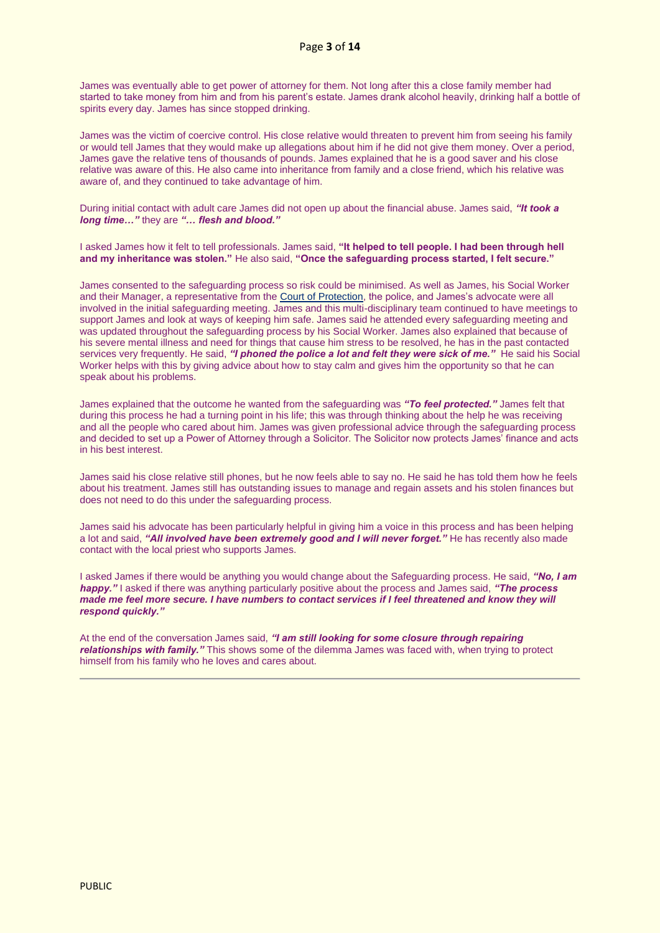James was eventually able to get power of attorney for them. Not long after this a close family member had started to take money from him and from his parent's estate. James drank alcohol heavily, drinking half a bottle of spirits every day. James has since stopped drinking.

James was the victim of coercive control. His close relative would threaten to prevent him from seeing his family or would tell James that they would make up allegations about him if he did not give them money. Over a period, James gave the relative tens of thousands of pounds. James explained that he is a good saver and his close relative was aware of this. He also came into inheritance from family and a close friend, which his relative was aware of, and they continued to take advantage of him.

During initial contact with adult care James did not open up about the financial abuse. James said, *"It took a long time…"* they are *"… flesh and blood."*

I asked James how it felt to tell professionals. James said, **"It helped to tell people. I had been through hell and my inheritance was stolen."** He also said, **"Once the safeguarding process started, I felt secure."**

James consented to the safeguarding process so risk could be minimised. As well as James, his Social Worker and their Manager, a representative from th[e Court of Protection,](https://www.gov.uk/courts-tribunals/court-of-protection) the police, and James's advocate were all involved in the initial safeguarding meeting. James and this multi-disciplinary team continued to have meetings to support James and look at ways of keeping him safe. James said he attended every safeguarding meeting and was updated throughout the safeguarding process by his Social Worker. James also explained that because of his severe mental illness and need for things that cause him stress to be resolved, he has in the past contacted services very frequently. He said, *"I phoned the police a lot and felt they were sick of me."* He said his Social Worker helps with this by giving advice about how to stay calm and gives him the opportunity so that he can speak about his problems.

James explained that the outcome he wanted from the safeguarding was *"To feel protected."* James felt that during this process he had a turning point in his life; this was through thinking about the help he was receiving and all the people who cared about him. James was given professional advice through the safeguarding process and decided to set up a Power of Attorney through a Solicitor. The Solicitor now protects James' finance and acts in his best interest.

James said his close relative still phones, but he now feels able to say no. He said he has told them how he feels about his treatment. James still has outstanding issues to manage and regain assets and his stolen finances but does not need to do this under the safeguarding process.

James said his advocate has been particularly helpful in giving him a voice in this process and has been helping a lot and said, *"All involved have been extremely good and I will never forget."* He has recently also made contact with the local priest who supports James.

I asked James if there would be anything you would change about the Safeguarding process. He said, *"No, I am happy."* I asked if there was anything particularly positive about the process and James said, *"The process made me feel more secure. I have numbers to contact services if I feel threatened and know they will respond quickly."*

At the end of the conversation James said, *"I am still looking for some closure through repairing relationships with family."* This shows some of the dilemma James was faced with, when trying to protect himself from his family who he loves and cares about.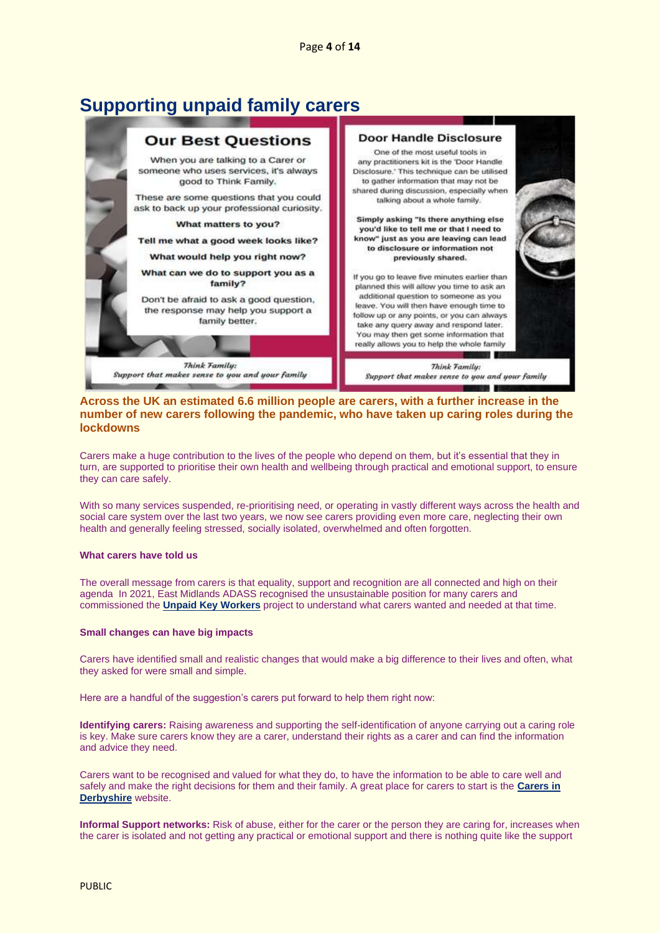### <span id="page-3-0"></span>**Supporting unpaid family carers**



### **Across the UK an estimated 6.6 million people are carers, with a further increase in the number of new carers following the pandemic, who have taken up caring roles during the lockdowns**

Carers make a huge contribution to the lives of the people who depend on them, but it's essential that they in turn, are supported to prioritise their own health and wellbeing through practical and emotional support, to ensure they can care safely.

With so many services suspended, re-prioritising need, or operating in vastly different ways across the health and social care system over the last two years, we now see carers providing even more care, neglecting their own health and generally feeling stressed, socially isolated, overwhelmed and often forgotten.

#### **What carers have told us**

The overall message from carers is that equality, support and recognition are all connected and high on their agenda In 2021, East Midlands ADASS recognised the unsustainable position for many carers and commissioned the **[Unpaid Key Workers](https://www.sortified.com/eastmidlandscarers)** project to understand what carers wanted and needed at that time.

#### **Small changes can have big impacts**

Carers have identified small and realistic changes that would make a big difference to their lives and often, what they asked for were small and simple.

Here are a handful of the suggestion's carers put forward to help them right now:

**Identifying carers:** Raising awareness and supporting the self-identification of anyone carrying out a caring role is key. Make sure carers know they are a carer, understand their rights as a carer and can find the information and advice they need.

Carers want to be recognised and valued for what they do, to have the information to be able to care well and safely and make the right decisions for them and their family. A great place for carers to start is the **[Carers in](https://www.carersinderbyshire.org.uk/)  [Derbyshire](https://www.carersinderbyshire.org.uk/)** website.

**Informal Support networks:** Risk of abuse, either for the carer or the person they are caring for, increases when the carer is isolated and not getting any practical or emotional support and there is nothing quite like the support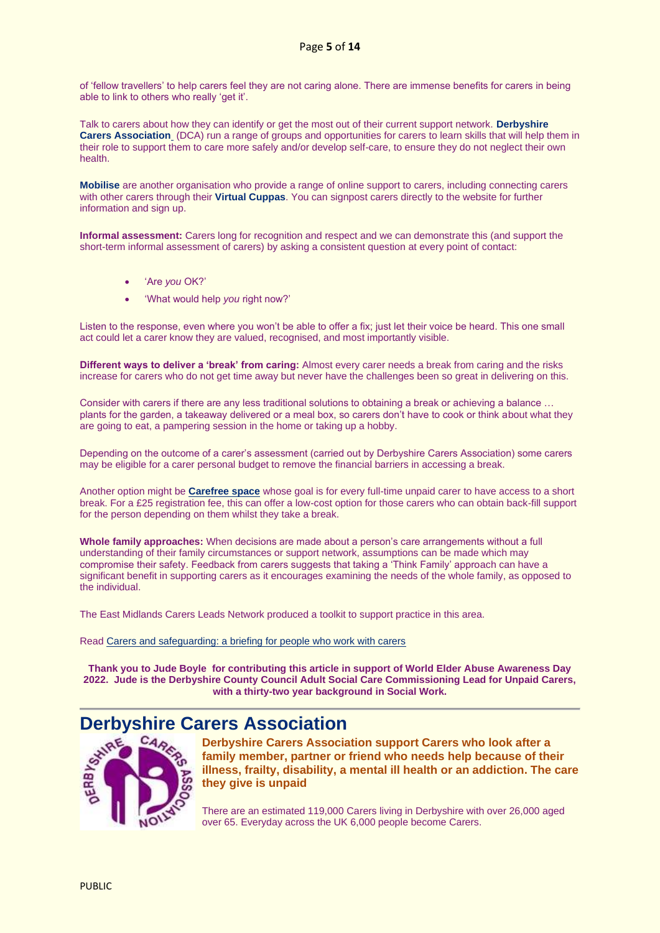of 'fellow travellers' to help carers feel they are not caring alone. There are immense benefits for carers in being able to link to others who really 'get it'.

Talk to carers about how they can identify or get the most out of their current support network. **[Derbyshire](https://derbyshirecarers.co.uk/event)  [Carers Association](https://derbyshirecarers.co.uk/event)** (DCA) run a range of groups and opportunities for carers to learn skills that will help them in their role to support them to care more safely and/or develop self-care, to ensure they do not neglect their own health.

**[Mobilise](https://www.mobiliseonline.co.uk/derbyshire)** are another organisation who provide a range of online support to carers, including connecting carers with other carers through their **[Virtual Cuppas](https://www.mobiliseonline.co.uk/cuppa)**. You can signpost carers directly to the website for further information and sign up.

**Informal assessment:** Carers long for recognition and respect and we can demonstrate this (and support the short-term informal assessment of carers) by asking a consistent question at every point of contact:

- 'Are *you* OK?'
- 'What would help *you* right now?'

Listen to the response, even where you won't be able to offer a fix; just let their voice be heard. This one small act could let a carer know they are valued, recognised, and most importantly visible.

**Different ways to deliver a 'break' from caring:** Almost every carer needs a break from caring and the risks increase for carers who do not get time away but never have the challenges been so great in delivering on this.

Consider with carers if there are any less traditional solutions to obtaining a break or achieving a balance … plants for the garden, a takeaway delivered or a meal box, so carers don't have to cook or think about what they are going to eat, a pampering session in the home or taking up a hobby.

Depending on the outcome of a carer's assessment (carried out by Derbyshire Carers Association) some carers may be eligible for a carer personal budget to remove the financial barriers in accessing a break.

Another option might be **[Carefree space](https://carefreespace.org/)** whose goal is for every full-time unpaid carer to have access to a short break. For a £25 registration fee, this can offer a low-cost option for those carers who can obtain back-fill support for the person depending on them whilst they take a break.

**Whole family approaches:** When decisions are made about a person's care arrangements without a full understanding of their family circumstances or support network, assumptions can be made which may compromise their safety. Feedback from carers suggests that taking a 'Think Family' approach can have a significant benefit in supporting carers as it encourages examining the needs of the whole family, as opposed to the individual.

The East Midlands Carers Leads Network produced a toolkit to support practice in this area.

Read [Carers and safeguarding: a briefing for people who work with carers](https://www.local.gov.uk/parliament/briefings-and-responses/carers-and-safeguarding-briefing-people-who-work-carers)

**Thank you to Jude Boyle for contributing this article in support of World Elder Abuse Awareness Day 2022. Jude is the Derbyshire County Council Adult Social Care Commissioning Lead for Unpaid Carers, with a thirty-two year background in Social Work.**



<span id="page-4-0"></span>**Derbyshire Carers Association**<br> **Derbyshire Carers Association**<br> **Exhibit Carers Association**<br> **Exhibit Carers Association Derbyshire Carers Association support Carers who look after a family member, partner or friend who needs help because of their illness, frailty, disability, a mental ill health or an addiction. The care they give is unpaid**

> There are an estimated 119,000 Carers living in Derbyshire with over 26,000 aged over 65. Everyday across the UK 6,000 people become Carers.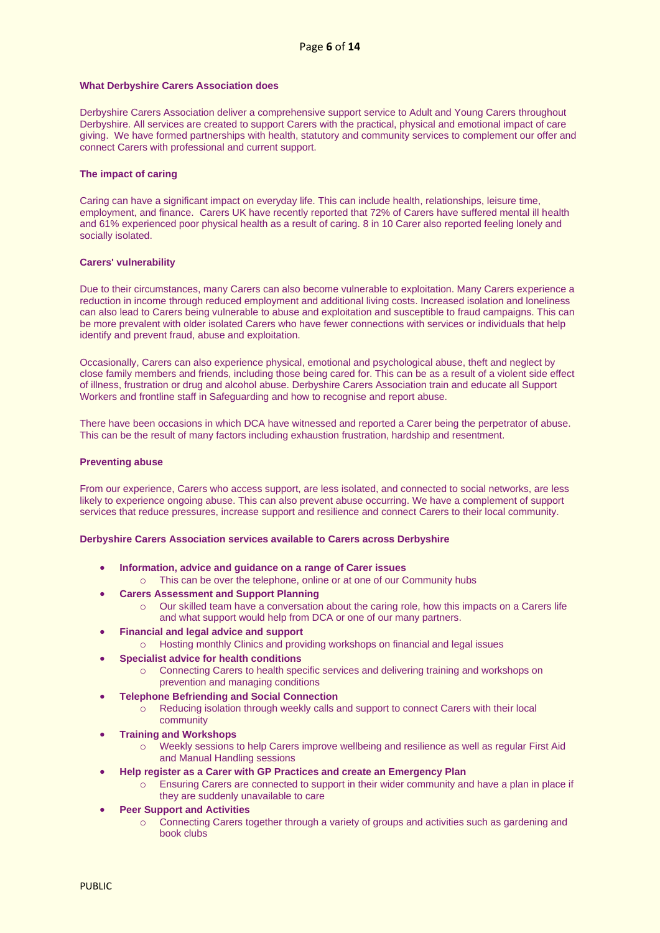#### **What Derbyshire Carers Association does**

Derbyshire Carers Association deliver a comprehensive support service to Adult and Young Carers throughout Derbyshire. All services are created to support Carers with the practical, physical and emotional impact of care giving. We have formed partnerships with health, statutory and community services to complement our offer and connect Carers with professional and current support.

#### **The impact of caring**

Caring can have a significant impact on everyday life. This can include health, relationships, leisure time, employment, and finance. Carers UK have recently reported that 72% of Carers have suffered mental ill health and 61% experienced poor physical health as a result of caring. 8 in 10 Carer also reported feeling lonely and socially isolated.

#### **Carers' vulnerability**

Due to their circumstances, many Carers can also become vulnerable to exploitation. Many Carers experience a reduction in income through reduced employment and additional living costs. Increased isolation and loneliness can also lead to Carers being vulnerable to abuse and exploitation and susceptible to fraud campaigns. This can be more prevalent with older isolated Carers who have fewer connections with services or individuals that help identify and prevent fraud, abuse and exploitation.

Occasionally, Carers can also experience physical, emotional and psychological abuse, theft and neglect by close family members and friends, including those being cared for. This can be as a result of a violent side effect of illness, frustration or drug and alcohol abuse. Derbyshire Carers Association train and educate all Support Workers and frontline staff in Safeguarding and how to recognise and report abuse.

There have been occasions in which DCA have witnessed and reported a Carer being the perpetrator of abuse. This can be the result of many factors including exhaustion frustration, hardship and resentment.

#### **Preventing abuse**

From our experience, Carers who access support, are less isolated, and connected to social networks, are less likely to experience ongoing abuse. This can also prevent abuse occurring. We have a complement of support services that reduce pressures, increase support and resilience and connect Carers to their local community.

#### **Derbyshire Carers Association services available to Carers across Derbyshire**

- **Information, advice and guidance on a range of Carer issues** 
	- o This can be over the telephone, online or at one of our Community hubs
- **Carers Assessment and Support Planning** 
	- Our skilled team have a conversation about the caring role, how this impacts on a Carers life and what support would help from DCA or one of our many partners.
- **Financial and legal advice and support**
	- Hosting monthly Clinics and providing workshops on financial and legal issues
- **Specialist advice for health conditions** 
	- o Connecting Carers to health specific services and delivering training and workshops on prevention and managing conditions
	- **Telephone Befriending and Social Connection**
		- Reducing isolation through weekly calls and support to connect Carers with their local community
	- **Training and Workshops**
		- o Weekly sessions to help Carers improve wellbeing and resilience as well as regular First Aid and Manual Handling sessions
- **Help register as a Carer with GP Practices and create an Emergency Plan**
	- o Ensuring Carers are connected to support in their wider community and have a plan in place if they are suddenly unavailable to care
- **Peer Support and Activities** 
	- o Connecting Carers together through a variety of groups and activities such as gardening and book clubs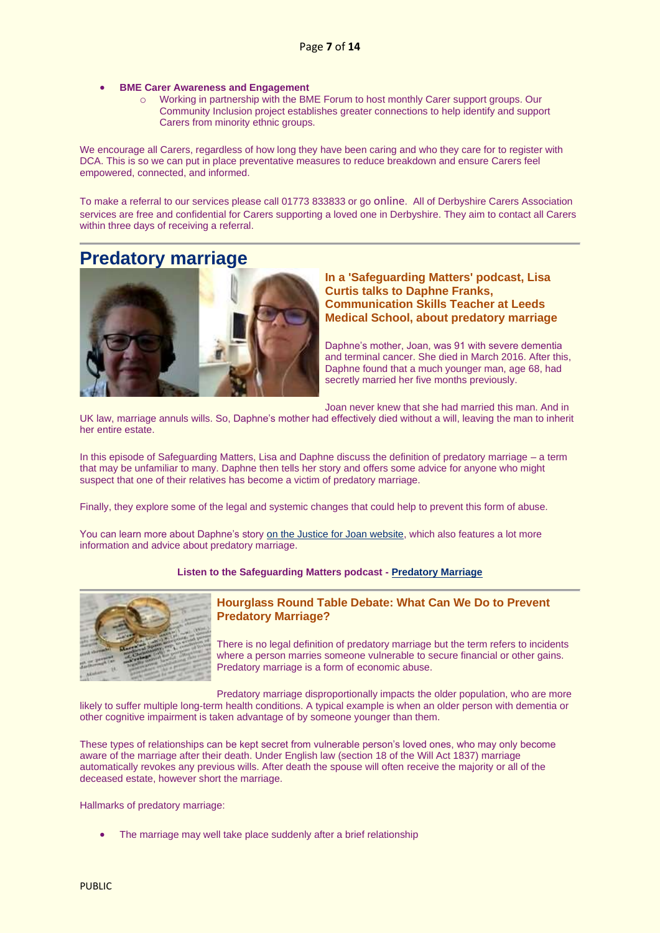- **BME Carer Awareness and Engagement** 
	- o Working in partnership with the BME Forum to host monthly Carer support groups. Our Community Inclusion project establishes greater connections to help identify and support Carers from minority ethnic groups.

We encourage all Carers, regardless of how long they have been caring and who they care for to register with DCA. This is so we can put in place preventative measures to reduce breakdown and ensure Carers feel empowered, connected, and informed.

To make a referral to our services please call 01773 833833 or go [online](https://derbyshirecarers.co.uk/registration-and-referral%C2%A0). All of Derbyshire Carers Association services are free and confidential for Carers supporting a loved one in Derbyshire. They aim to contact all Carers within three days of receiving a referral.

### <span id="page-6-0"></span>**Predatory marriage**



### **In a 'Safeguarding Matters' podcast, Lisa Curtis talks to Daphne Franks, Communication Skills Teacher at Leeds Medical School, about predatory marriage**

Daphne's mother, Joan, was 91 with severe dementia and terminal cancer. She died in March 2016. After this, Daphne found that a much younger man, age 68, had secretly married her five months previously.

Joan never knew that she had married this man. And in

UK law, marriage annuls wills. So, Daphne's mother had effectively died without a will, leaving the man to inherit her entire estate.

In this episode of Safeguarding Matters, Lisa and Daphne discuss the definition of predatory marriage – a term that may be unfamiliar to many. Daphne then tells her story and offers some advice for anyone who might suspect that one of their relatives has become a victim of predatory marriage.

Finally, they explore some of the legal and systemic changes that could help to prevent this form of abuse.

You can learn more about Daphne's story [on the Justice for Joan website,](https://www.justiceforjoan.com/) which also features a lot more information and advice about predatory marriage.

#### **Listen to the Safeguarding Matters podcast - [Predatory Marriage](https://www.buzzsprout.com/279145/4024898-predatory-marriage-safeguarding-matters?client_source=small_player&iframe=true&referrer=https://www.buzzsprout.com/279145/4024898-predatory-marriage-safeguarding-matters.js?container_id=buzzsprout-player-4024898&player=small)**



### **Hourglass Round Table Debate: What Can We Do to Prevent Predatory Marriage?**

There is no legal definition of predatory marriage but the term refers to incidents where a person marries someone vulnerable to secure financial or other gains. Predatory marriage is a form of economic abuse.

Predatory marriage disproportionally impacts the older population, who are more likely to suffer multiple long-term health conditions. A typical example is when an older person with dementia or other cognitive impairment is taken advantage of by someone younger than them.

These types of relationships can be kept secret from vulnerable person's loved ones, who may only become aware of the marriage after their death. Under English law (section 18 of the Will Act 1837) marriage automatically revokes any previous wills. After death the spouse will often receive the majority or all of the deceased estate, however short the marriage.

Hallmarks of predatory marriage:

• The marriage may well take place suddenly after a brief relationship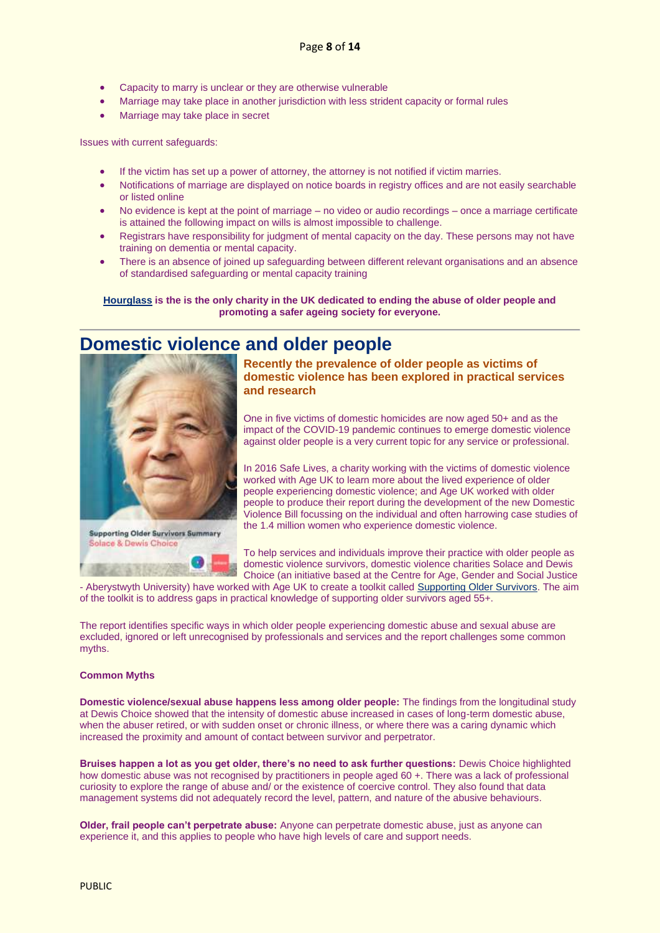- Capacity to marry is unclear or they are otherwise vulnerable
- Marriage may take place in another jurisdiction with less strident capacity or formal rules
- Marriage may take place in secret

Issues with current safeguards:

- If the victim has set up a power of attorney, the attorney is not notified if victim marries.
- Notifications of marriage are displayed on notice boards in registry offices and are not easily searchable or listed online
- No evidence is kept at the point of marriage no video or audio recordings once a marriage certificate is attained the following impact on wills is almost impossible to challenge.
- Registrars have responsibility for judgment of mental capacity on the day. These persons may not have training on dementia or mental capacity.
- There is an absence of joined up safeguarding between different relevant organisations and an absence of standardised safeguarding or mental capacity training

**[Hourglass](https://wearehourglass.org/) is the is the only charity in the UK dedicated to ending the abuse of older people and promoting a safer ageing society for everyone.**

### <span id="page-7-0"></span>**Domestic violence and older people**



**Supporting Older Survivors Summary** Solace & Dewis Choice

**Recently the prevalence of older people as victims of domestic violence has been explored in practical services and research**

One in five victims of domestic homicides are now aged 50+ and as the impact of the COVID-19 pandemic continues to emerge domestic violence against older people is a very current topic for any service or professional.

In 2016 Safe Lives, a charity working with the victims of domestic violence worked with Age UK to learn more about the lived experience of older people experiencing domestic violence; and Age UK worked with older people to produce their report during the development of the new Domestic Violence Bill focussing on the individual and often harrowing case studies of the 1.4 million women who experience domestic violence.

To help services and individuals improve their practice with older people as domestic violence survivors, domestic violence charities Solace and Dewis Choice (an initiative based at the Centre for Age, Gender and Social Justice

- Aberystwyth University) have worked with Age UK to create a toolkit calle[d Supporting Older Survivors.](https://bit.ly/3xmQRsK) The aim of the toolkit is to address gaps in practical knowledge of supporting older survivors aged 55+.

The report identifies specific ways in which older people experiencing domestic abuse and sexual abuse are excluded, ignored or left unrecognised by professionals and services and the report challenges some common myths.

#### **Common Myths**

**Domestic violence/sexual abuse happens less among older people:** The findings from the longitudinal study at Dewis Choice showed that the intensity of domestic abuse increased in cases of long-term domestic abuse, when the abuser retired, or with sudden onset or chronic illness, or where there was a caring dynamic which increased the proximity and amount of contact between survivor and perpetrator.

**Bruises happen a lot as you get older, there's no need to ask further questions:** Dewis Choice highlighted how domestic abuse was not recognised by practitioners in people aged 60 +. There was a lack of professional curiosity to explore the range of abuse and/ or the existence of coercive control. They also found that data management systems did not adequately record the level, pattern, and nature of the abusive behaviours.

**Older, frail people can't perpetrate abuse:** Anyone can perpetrate domestic abuse, just as anyone can experience it, and this applies to people who have high levels of care and support needs.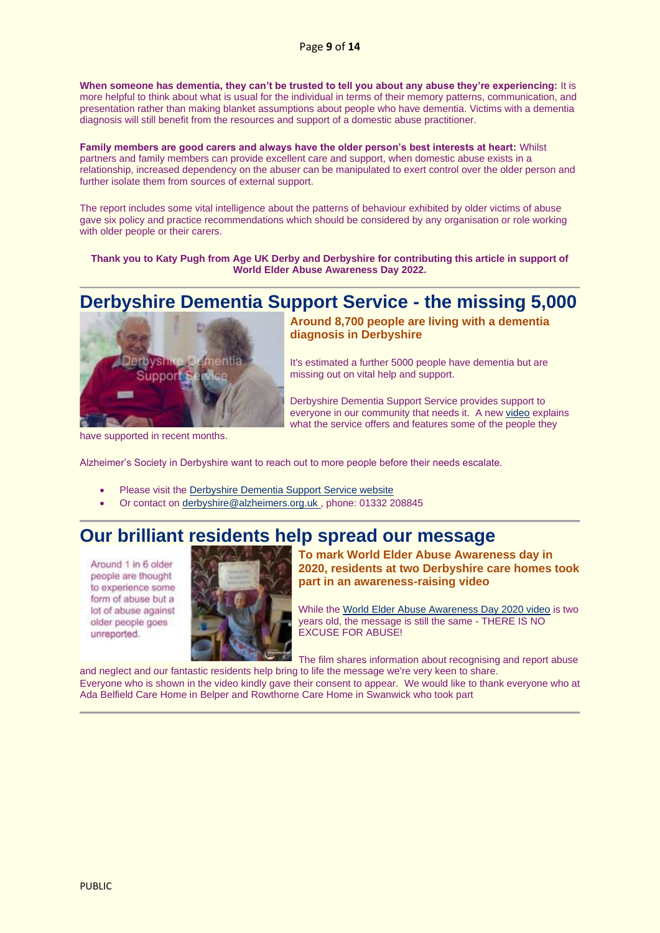**When someone has dementia, they can't be trusted to tell you about any abuse they're experiencing:** It is more helpful to think about what is usual for the individual in terms of their memory patterns, communication, and presentation rather than making blanket assumptions about people who have dementia. Victims with a dementia diagnosis will still benefit from the resources and support of a domestic abuse practitioner.

**Family members are good carers and always have the older person's best interests at heart:** Whilst partners and family members can provide excellent care and support, when domestic abuse exists in a relationship, increased dependency on the abuser can be manipulated to exert control over the older person and further isolate them from sources of external support.

The report includes some vital intelligence about the patterns of behaviour exhibited by older victims of abuse gave six policy and practice recommendations which should be considered by any organisation or role working with older people or their carers.

**Thank you to Katy Pugh from Age UK Derby and Derbyshire for contributing this article in support of World Elder Abuse Awareness Day 2022.**

### <span id="page-8-0"></span>**Derbyshire Dementia Support Service - the missing 5,000**



have supported in recent months.

**Around 8,700 people are living with a dementia diagnosis in Derbyshire**

It's estimated a further 5000 people have dementia but are missing out on vital help and support.

Derbyshire Dementia Support Service provides support to everyone in our community that needs it. A ne[w video](https://lnks.gd/l/eyJhbGciOiJIUzI1NiJ9.eyJidWxsZXRpbl9saW5rX2lkIjoxMDAsInVyaSI6ImJwMjpjbGljayIsImJ1bGxldGluX2lkIjoiMjAyMjA1MjAuNTgxOTI4ODEiLCJ1cmwiOiJodHRwczovL3d3dy5kZW1lbnRpYWRlcmJ5c2hpcmUub3JnLnVrL3dwLWNvbnRlbnQvdXBsb2Fkcy8yMDIyLzA1L2Rkc3NmaW5hbGZpbmFsNm1pbnMubXA0I3Q9MiJ9.6qZ3PDpU9XMQ6lRxPhnK62jq3WgUaB1cS604WfF0u-8/s/235419298/br/131622648678-l) explains what the service offers and features some of the people they

Alzheimer's Society in Derbyshire want to reach out to more people before their needs escalate.

- Please visit the [Derbyshire Dementia Support Service website](https://www.dementiaderbyshire.org.uk/)
- Or contact on [derbyshire@alzheimers.org.uk ,](mailto:derbyshire@alzheimers.org.uk) phone: 01332 208845

### <span id="page-8-1"></span>**Our brilliant residents help spread our message**

Around 1 in 6 older people are thought to experience some form of abuse but a lot of abuse against older people goes unreported.



**To mark World Elder Abuse Awareness day in 2020, residents at two Derbyshire care homes took part in an awareness-raising video**

While the [World Elder Abuse Awareness Day 2020 video](https://www.youtube.com/watch?v=9jQrL7Ybyo8) is two years old, the message is still the same - THERE IS NO EXCUSE FOR ABUSE!

The film shares information about recognising and report abuse

and neglect and our fantastic residents help bring to life the message we're very keen to share. Everyone who is shown in the video kindly gave their consent to appear. We would like to thank everyone who at Ada Belfield Care Home in Belper and Rowthorne Care Home in Swanwick who took part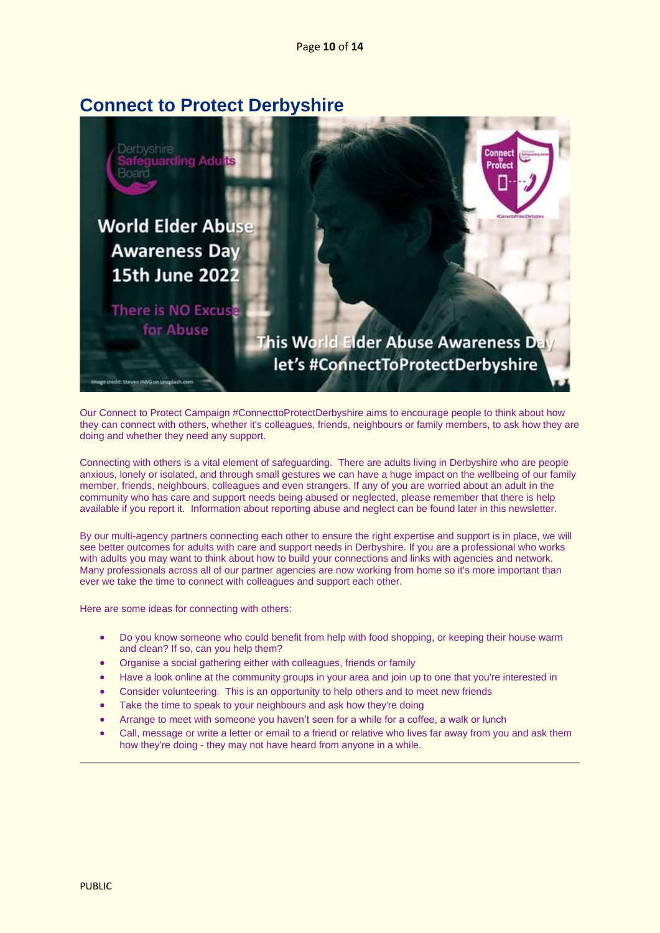### <span id="page-9-0"></span>**Connect to Protect Derbyshire**



Our Connect to Protect Campaign #ConnecttoProtectDerbyshire aims to encourage people to think about how they can connect with others, whether it's colleagues, friends, neighbours or family members, to ask how they are doing and whether they need any support.

Connecting with others is a vital element of safeguarding. There are adults living in Derbyshire who are people anxious, lonely or isolated, and through small gestures we can have a huge impact on the wellbeing of our family member, friends, neighbours, colleagues and even strangers. If any of you are worried about an adult in the community who has care and support needs being abused or neglected, please remember that there is help available if you report it. Information about reporting abuse and neglect can be found later in this newsletter.

By our multi-agency partners connecting each other to ensure the right expertise and support is in place, we will see better outcomes for adults with care and support needs in Derbyshire. If you are a professional who works with adults you may want to think about how to build your connections and links with agencies and network. Many professionals across all of our partner agencies are now working from home so it's more important than ever we take the time to connect with colleagues and support each other.

Here are some ideas for connecting with others:

- Do you know someone who could benefit from help with food shopping, or keeping their house warm and clean? If so, can you help them?
- Organise a social gathering either with colleagues, friends or family
- Have a look online at the community groups in your area and join up to one that you're interested in
- Consider volunteering. This is an opportunity to help others and to meet new friends
- Take the time to speak to your neighbours and ask how they're doing
- Arrange to meet with someone you haven't seen for a while for a coffee, a walk or lunch
- Call, message or write a letter or email to a friend or relative who lives far away from you and ask them how they're doing - they may not have heard from anyone in a while.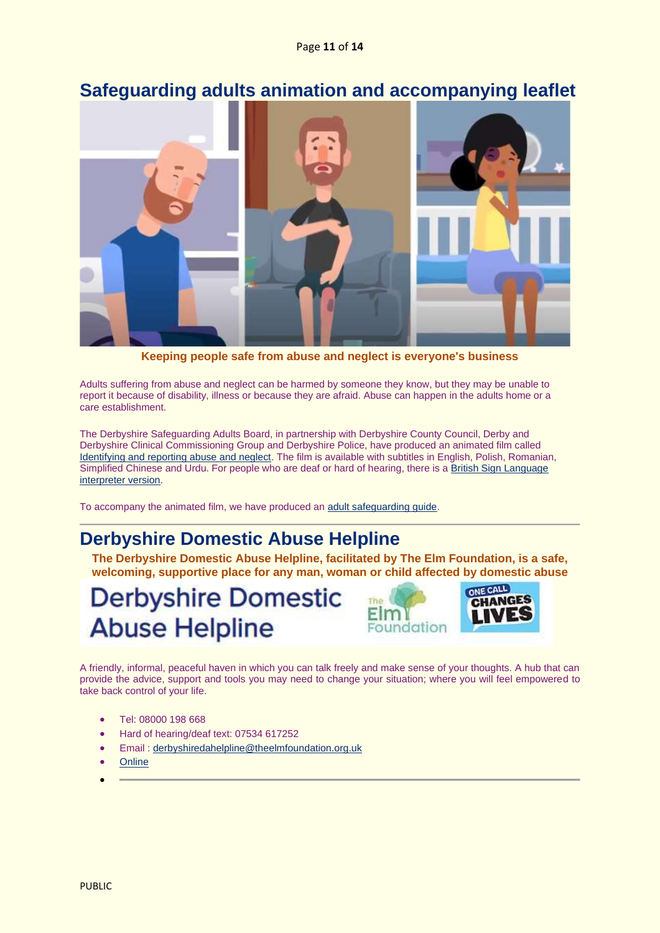### <span id="page-10-0"></span>**Safeguarding adults animation and accompanying leaflet**



**Keeping people safe from abuse and neglect is everyone's business**

Adults suffering from abuse and neglect can be harmed by someone they know, but they may be unable to report it because of disability, illness or because they are afraid. Abuse can happen in the adults home or a care establishment.

The Derbyshire Safeguarding Adults Board, in partnership with Derbyshire County Council, Derby and Derbyshire Clinical Commissioning Group and Derbyshire Police, have produced an animated film called Identifying and [reporting abuse and neglect.](https://www.youtube.com/watch?v=QTrmiJZ6yL8&feature=youtu.be) The film is available with subtitles in English, Polish, Romanian, Simplified Chinese and Urdu. For people who are deaf or hard of hearing, there is [a British Sign Language](https://www.youtube.com/watch?v=6XzhPUfAVfI&feature=youtu.be)  [interpreter version.](https://www.youtube.com/watch?v=6XzhPUfAVfI&feature=youtu.be)

To accompany the animated film, we have produced an [adult safeguarding guide.](https://www.derbyshiresab.org.uk/site-elements/documents/pdf/identifying-and-reporting-abuse-and-neglect-a-guide-to-safeguarding-adults.pdf)

### <span id="page-10-1"></span>**Derbyshire Domestic Abuse Helpline**

**The Derbyshire Domestic Abuse Helpline, facilitated by The Elm Foundation, is a safe, welcoming, supportive place for any man, woman or child affected by domestic abuse**

## **Derbyshire Domestic Abuse Helpline**



A friendly, informal, peaceful haven in which you can talk freely and make sense of your thoughts. A hub that can provide the advice, support and tools you may need to change your situation; where you will feel empowered to take back control of your life.

- Tel: 08000 198 668
- Hard of hearing/deaf text: 07534 617252
- Email : [derbyshiredahelpline@theelmfoundation.org.uk](mailto:derbyshiredahelpline@theelmfoundation.org.uk)
- **[Online](https://www.derbyshiredomesticabusehelpline.co.uk/)**
- •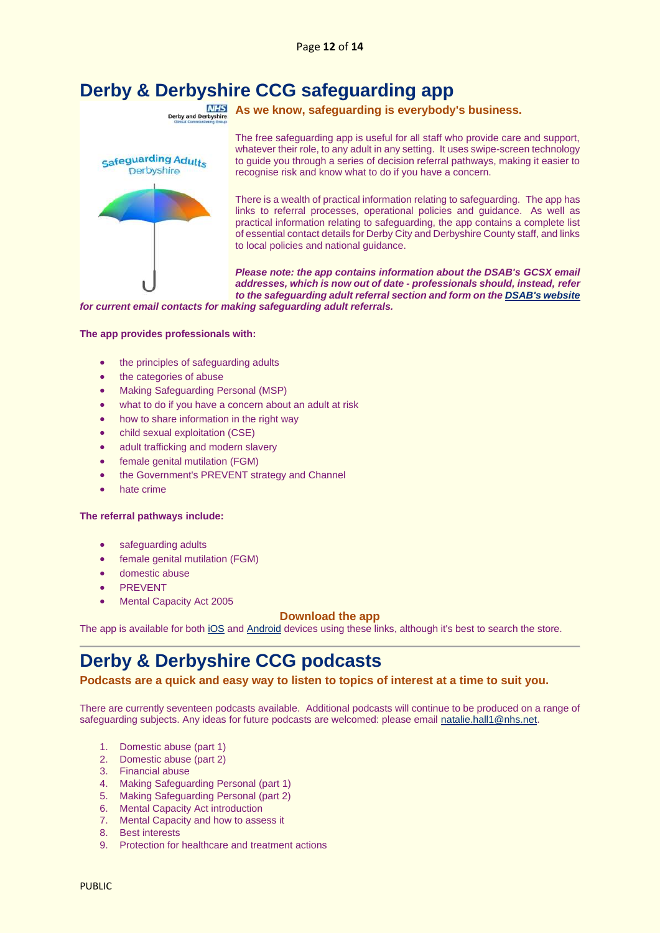# <span id="page-11-0"></span>**Derby & Derbyshire CCG safeguarding app**



**As we know, safeguarding is everybody's business.**

The free safeguarding app is useful for all staff who provide care and support, whatever their role, to any adult in any setting. It uses swipe-screen technology to guide you through a series of decision referral pathways, making it easier to recognise risk and know what to do if you have a concern.

There is a wealth of practical information relating to safeguarding. The app has links to referral processes, operational policies and guidance. As well as practical information relating to safeguarding, the app contains a complete list of essential contact details for Derby City and Derbyshire County staff, and links to local policies and national guidance.

*Please note: the app contains information about the DSAB's GCSX email addresses, which is now out of date - professionals should, instead, refer to the safeguarding adult referral section and form on th[e DSAB's website](https://www.derbyshiresab.org.uk/professionals/safeguarding-adult-referrals.aspx)* 

*for current email contacts for making safeguarding adult referrals.*

#### **The app provides professionals with:**

- the principles of safeguarding adults
- the categories of abuse
- Making Safeguarding Personal (MSP)
- what to do if you have a concern about an adult at risk
- how to share information in the right way
- child sexual exploitation (CSE)
- adult trafficking and modern slavery
- female genital mutilation (FGM)
- the Government's PREVENT strategy and Channel
- hate crime

#### **The referral pathways include:**

- safeguarding adults
- female genital mutilation (FGM)
- domestic abuse
- **PREVENT**
- Mental Capacity Act 2005

#### **Download the app**

The app is available for bot[h iOS](https://itunes.apple.com/gb/app/safeguarding-adults-derbyshire/id1124425405?mt=8) an[d Android](https://play.google.com/store/apps/details?id=com.safeguarding.adults.android&hl=en_GB) devices using these links, although it's best to search the store.

### <span id="page-11-1"></span>**Derby & Derbyshire CCG podcasts**

**Podcasts are a quick and easy way to listen to topics of interest at a time to suit you.**

There are currently seventeen podcasts available. Additional podcasts will continue to be produced on a range of safeguarding subjects. Any ideas for future podcasts are welcomed: please email [natalie.hall1@nhs.net.](mailto:natalie.hall1@nhs.net)

- 1. Domestic abuse (part 1)
- 2. Domestic abuse (part 2)
- 3. Financial abuse
- 4. Making Safeguarding Personal (part 1)
- 5. Making Safeguarding Personal (part 2)
- 6. Mental Capacity Act introduction
- 7. Mental Capacity and how to assess it
- 8. Best interests
- 9. Protection for healthcare and treatment actions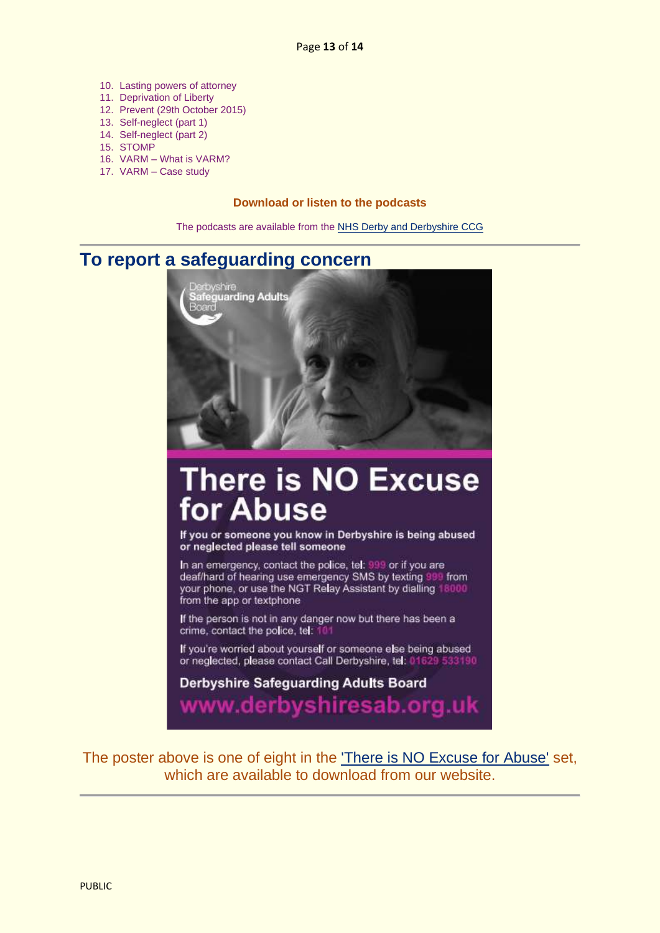- 10. Lasting powers of attorney
- 11. Deprivation of Liberty
- 12. Prevent (29th October 2015)
- 13. Self-neglect (part 1)
- 14. Self-neglect (part 2)
- 15. STOMP
- 16. VARM What is VARM?
- 17. VARM Case study

### **Download or listen to the podcasts**

The podcasts are available from th[e NHS Derby and Derbyshire CCG](http://www.derbyandderbyshireccg.nhs.uk/about-us/what-we-do/safeguarding/safeguarding-adults/podcasts/)

### <span id="page-12-0"></span>**To report a safeguarding concern**



# **There is NO Excuse** for Abuse

If you or someone you know in Derbyshire is being abused or neglected please tell someone

In an emergency, contact the police, tel: 999 or if you are<br>deaf/hard of hearing use emergency SMS by texting 999 from your phone, or use the NGT Relay Assistant by dialling 18000 from the app or textphone

If the person is not in any danger now but there has been a crime, contact the police, tel: 10

If you're worried about yourself or someone else being abused or neglected, please contact Call Derbyshire, tel: 01629 533190

**Derbyshire Safeguarding Adults Board** www.derbyshiresab.org.uk

The poster above is one of eight in the ['There is NO Excuse for Abuse'](https://www.derbyshiresab.org.uk/what-is-abuse/how-to-report-abuse.aspx) set, which are available to download from our website.